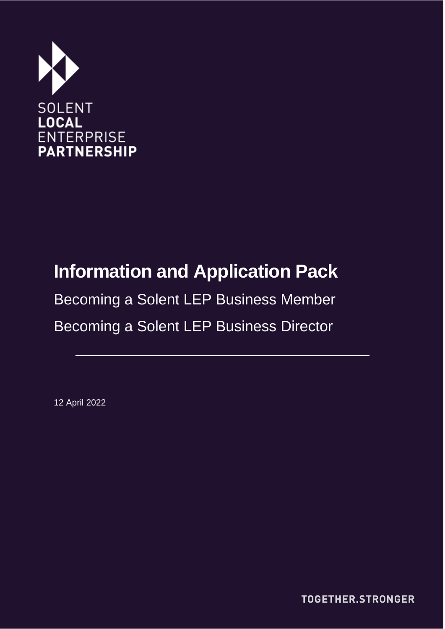

# **Information and Application Pack**

Becoming a Solent LEP Business Member Becoming a Solent LEP Business Director

12 April 2022

**TOGETHER.STRONGER**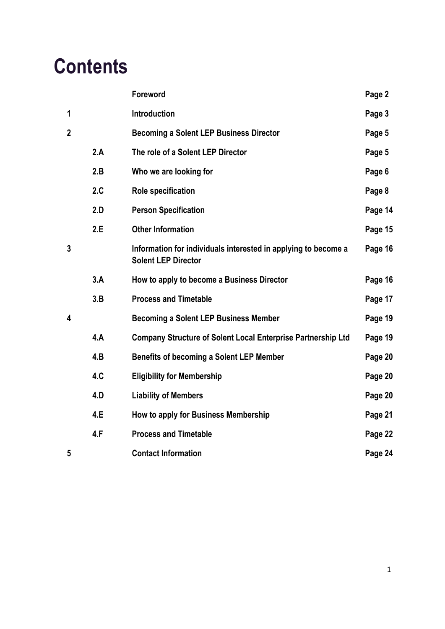# **Contents**

|                |     | Foreword                                                                                     | Page 2  |
|----------------|-----|----------------------------------------------------------------------------------------------|---------|
| 1              |     | Introduction                                                                                 | Page 3  |
| $\overline{2}$ |     | <b>Becoming a Solent LEP Business Director</b>                                               | Page 5  |
|                | 2.A | The role of a Solent LEP Director                                                            | Page 5  |
|                | 2.B | Who we are looking for                                                                       | Page 6  |
|                | 2.C | Role specification                                                                           | Page 8  |
|                | 2.D | <b>Person Specification</b>                                                                  | Page 14 |
|                | 2.E | <b>Other Information</b>                                                                     | Page 15 |
| 3              |     | Information for individuals interested in applying to become a<br><b>Solent LEP Director</b> | Page 16 |
|                | 3.A | How to apply to become a Business Director                                                   | Page 16 |
|                | 3.B | <b>Process and Timetable</b>                                                                 | Page 17 |
| 4              |     | <b>Becoming a Solent LEP Business Member</b>                                                 | Page 19 |
|                | 4.A | <b>Company Structure of Solent Local Enterprise Partnership Ltd</b>                          | Page 19 |
|                | 4.B | <b>Benefits of becoming a Solent LEP Member</b>                                              | Page 20 |
|                | 4.C | <b>Eligibility for Membership</b>                                                            | Page 20 |
|                | 4.D | <b>Liability of Members</b>                                                                  | Page 20 |
|                | 4.E | How to apply for Business Membership                                                         | Page 21 |
|                | 4.F | <b>Process and Timetable</b>                                                                 | Page 22 |
| 5              |     | <b>Contact Information</b>                                                                   | Page 24 |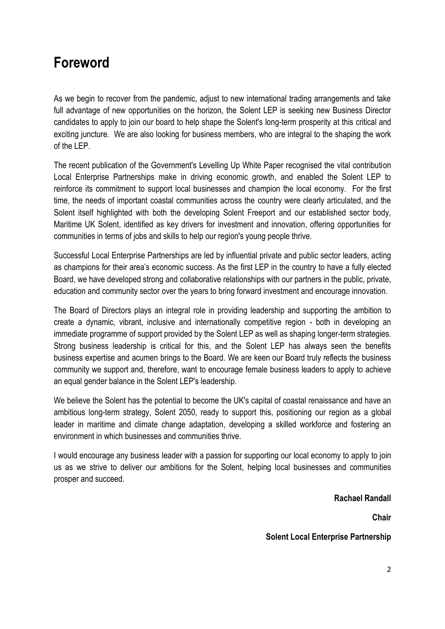### **Foreword**

As we begin to recover from the pandemic, adjust to new international trading arrangements and take full advantage of new opportunities on the horizon, the Solent LEP is seeking new Business Director candidates to apply to join our board to help shape the Solent's long-term prosperity at this critical and exciting juncture. We are also looking for business members, who are integral to the shaping the work of the LEP.

The recent publication of the Government's Levelling Up White Paper recognised the vital contribution Local Enterprise Partnerships make in driving economic growth, and enabled the Solent LEP to reinforce its commitment to support local businesses and champion the local economy. For the first time, the needs of important coastal communities across the country were clearly articulated, and the Solent itself highlighted with both the developing Solent Freeport and our established sector body, Maritime UK Solent, identified as key drivers for investment and innovation, offering opportunities for communities in terms of jobs and skills to help our region's young people thrive.

Successful Local Enterprise Partnerships are led by influential private and public sector leaders, acting as champions for their area's economic success. As the first LEP in the country to have a fully elected Board, we have developed strong and collaborative relationships with our partners in the public, private, education and community sector over the years to bring forward investment and encourage innovation.

The Board of Directors plays an integral role in providing leadership and supporting the ambition to create a dynamic, vibrant, inclusive and internationally competitive region - both in developing an immediate programme of support provided by the Solent LEP as well as shaping longer-term strategies. Strong business leadership is critical for this, and the Solent LEP has always seen the benefits business expertise and acumen brings to the Board. We are keen our Board truly reflects the business community we support and, therefore, want to encourage female business leaders to apply to achieve an equal gender balance in the Solent LEP's leadership.

We believe the Solent has the potential to become the UK's capital of coastal renaissance and have an ambitious long-term strategy, Solent 2050, ready to support this, positioning our region as a global leader in maritime and climate change adaptation, developing a skilled workforce and fostering an environment in which businesses and communities thrive.

I would encourage any business leader with a passion for supporting our local economy to apply to join us as we strive to deliver our ambitions for the Solent, helping local businesses and communities prosper and succeed.

**Rachael Randall**

**Chair**

**Solent Local Enterprise Partnership**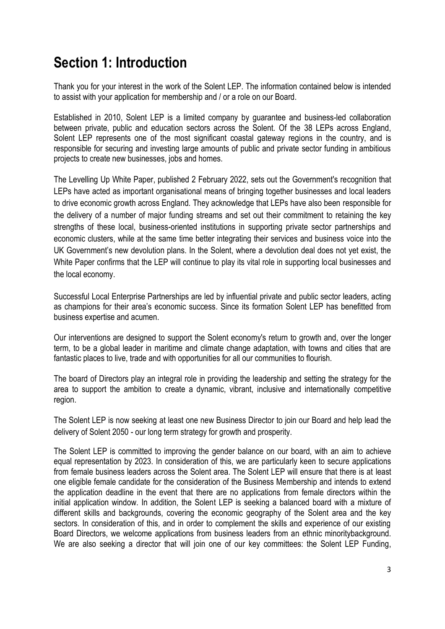### **Section 1: Introduction**

Thank you for your interest in the work of the Solent LEP. The information contained below is intended to assist with your application for membership and / or a role on our Board.

Established in 2010, Solent LEP is a limited company by guarantee and business-led collaboration between private, public and education sectors across the Solent. Of the 38 LEPs across England, Solent LEP represents one of the most significant coastal gateway regions in the country, and is responsible for securing and investing large amounts of public and private sector funding in ambitious projects to create new businesses, jobs and homes.

The Levelling Up White Paper, published 2 February 2022, sets out the Government's recognition that LEPs have acted as important organisational means of bringing together businesses and local leaders to drive economic growth across England. They acknowledge that LEPs have also been responsible for the delivery of a number of major funding streams and set out their commitment to retaining the key strengths of these local, business-oriented institutions in supporting private sector partnerships and economic clusters, while at the same time better integrating their services and business voice into the UK Government's new devolution plans. In the Solent, where a devolution deal does not yet exist, the White Paper confirms that the LEP will continue to play its vital role in supporting local businesses and the local economy.

Successful Local Enterprise Partnerships are led by influential private and public sector leaders, acting as champions for their area's economic success. Since its formation Solent LEP has benefitted from business expertise and acumen.

Our interventions are designed to support the Solent economy's return to growth and, over the longer term, to be a global leader in maritime and climate change adaptation, with towns and cities that are fantastic places to live, trade and with opportunities for all our communities to flourish.

The board of Directors play an integral role in providing the leadership and setting the strategy for the area to support the ambition to create a dynamic, vibrant, inclusive and internationally competitive region.

The Solent LEP is now seeking at least one new Business Director to join our Board and help lead the delivery of Solent 2050 - our long term strategy for growth and prosperity.

The Solent LEP is committed to improving the gender balance on our board, with an aim to achieve equal representation by 2023. In consideration of this, we are particularly keen to secure applications from female business leaders across the Solent area. The Solent LEP will ensure that there is at least one eligible female candidate for the consideration of the Business Membership and intends to extend the application deadline in the event that there are no applications from female directors within the initial application window. In addition, the Solent LEP is seeking a balanced board with a mixture of different skills and backgrounds, covering the economic geography of the Solent area and the key sectors. In consideration of this, and in order to complement the skills and experience of our existing Board Directors, we welcome applications from business leaders from an ethnic minoritybackground. We are also seeking a director that will join one of our key committees: the Solent LEP Funding,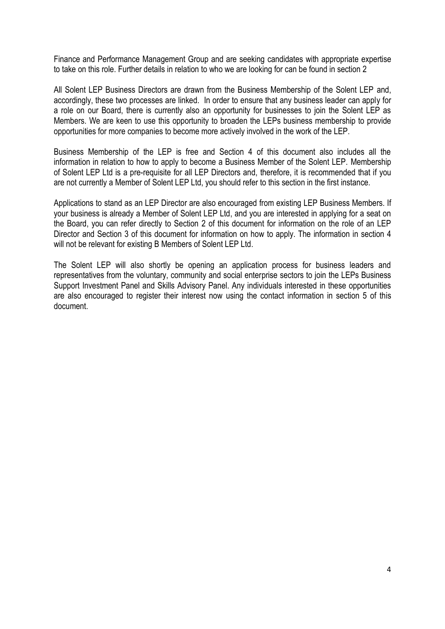Finance and Performance Management Group and are seeking candidates with appropriate expertise to take on this role. Further details in relation to who we are looking for can be found in section 2

All Solent LEP Business Directors are drawn from the Business Membership of the Solent LEP and, accordingly, these two processes are linked. In order to ensure that any business leader can apply for a role on our Board, there is currently also an opportunity for businesses to join the Solent LEP as Members. We are keen to use this opportunity to broaden the LEPs business membership to provide opportunities for more companies to become more actively involved in the work of the LEP.

Business Membership of the LEP is free and Section 4 of this document also includes all the information in relation to how to apply to become a Business Member of the Solent LEP. Membership of Solent LEP Ltd is a pre-requisite for all LEP Directors and, therefore, it is recommended that if you are not currently a Member of Solent LEP Ltd, you should refer to this section in the first instance.

Applications to stand as an LEP Director are also encouraged from existing LEP Business Members. If your business is already a Member of Solent LEP Ltd, and you are interested in applying for a seat on the Board, you can refer directly to Section 2 of this document for information on the role of an LEP Director and Section 3 of this document for information on how to apply. The information in section 4 will not be relevant for existing B Members of Solent LEP Ltd.

The Solent LEP will also shortly be opening an application process for business leaders and representatives from the voluntary, community and social enterprise sectors to join the LEPs Business Support Investment Panel and Skills Advisory Panel. Any individuals interested in these opportunities are also encouraged to register their interest now using the contact information in section 5 of this document.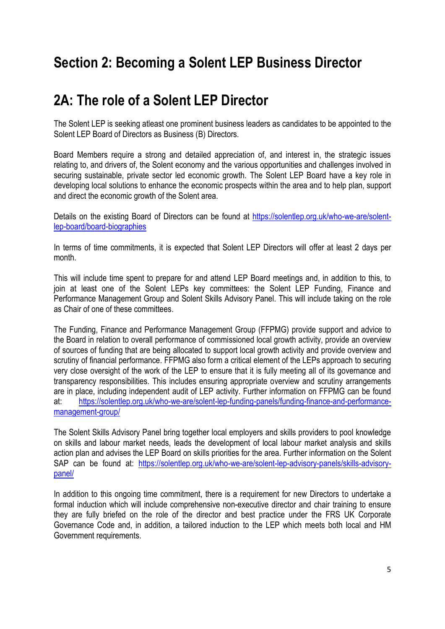### **Section 2: Becoming a Solent LEP Business Director**

### **2A: The role of a Solent LEP Director**

The Solent LEP is seeking atleast one prominent business leaders as candidates to be appointed to the Solent LEP Board of Directors as Business (B) Directors.

Board Members require a strong and detailed appreciation of, and interest in, the strategic issues relating to, and drivers of, the Solent economy and the various opportunities and challenges involved in securing sustainable, private sector led economic growth. The Solent LEP Board have a key role in developing local solutions to enhance the economic prospects within the area and to help plan, support and direct the economic growth of the Solent area.

Details on the existing Board of Directors can be found at [https://solentlep.org.uk/who-we-are/solent](https://solentlep.org.uk/who-we-are/solent-lep-board/board-biographies)[lep-board/board-biographies](https://solentlep.org.uk/who-we-are/solent-lep-board/board-biographies)

In terms of time commitments, it is expected that Solent LEP Directors will offer at least 2 days per month.

This will include time spent to prepare for and attend LEP Board meetings and, in addition to this, to join at least one of the Solent LEPs key committees: the Solent LEP Funding, Finance and Performance Management Group and Solent Skills Advisory Panel. This will include taking on the role as Chair of one of these committees.

The Funding, Finance and Performance Management Group (FFPMG) provide support and advice to the Board in relation to overall performance of commissioned local growth activity, provide an overview of sources of funding that are being allocated to support local growth activity and provide overview and scrutiny of financial performance. FFPMG also form a critical element of the LEPs approach to securing very close oversight of the work of the LEP to ensure that it is fully meeting all of its governance and transparency responsibilities. This includes ensuring appropriate overview and scrutiny arrangements are in place, including independent audit of LEP activity. Further information on FFPMG can be found at: [https://solentlep.org.uk/who-we-are/solent-lep-funding-panels/funding-finance-and-performance](https://solentlep.org.uk/who-we-are/solent-lep-funding-panels/funding-finance-and-performance-management-group/)[management-group/](https://solentlep.org.uk/who-we-are/solent-lep-funding-panels/funding-finance-and-performance-management-group/)

The Solent Skills Advisory Panel bring together local employers and skills providers to pool knowledge on skills and labour market needs, leads the development of local labour market analysis and skills action plan and advises the LEP Board on skills priorities for the area. Further information on the Solent SAP can be found at: [https://solentlep.org.uk/who-we-are/solent-lep-advisory-panels/skills-advisory](https://solentlep.org.uk/who-we-are/solent-lep-advisory-panels/skills-advisory-panel/)[panel/](https://solentlep.org.uk/who-we-are/solent-lep-advisory-panels/skills-advisory-panel/)

In addition to this ongoing time commitment, there is a requirement for new Directors to undertake a formal induction which will include comprehensive non-executive director and chair training to ensure they are fully briefed on the role of the director and best practice under the FRS UK Corporate Governance Code and, in addition, a tailored induction to the LEP which meets both local and HM Government requirements.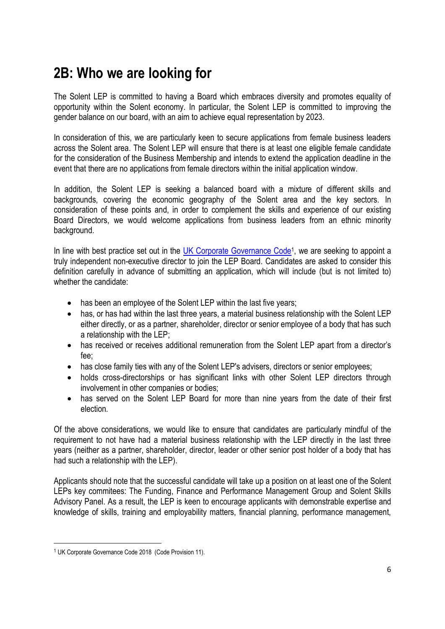### **2B: Who we are looking for**

The Solent LEP is committed to having a Board which embraces diversity and promotes equality of opportunity within the Solent economy. In particular, the Solent LEP is committed to improving the gender balance on our board, with an aim to achieve equal representation by 2023.

In consideration of this, we are particularly keen to secure applications from female business leaders across the Solent area. The Solent LEP will ensure that there is at least one eligible female candidate for the consideration of the Business Membership and intends to extend the application deadline in the event that there are no applications from female directors within the initial application window.

In addition, the Solent LEP is seeking a balanced board with a mixture of different skills and backgrounds, covering the economic geography of the Solent area and the key sectors. In consideration of these points and, in order to complement the skills and experience of our existing Board Directors, we would welcome applications from business leaders from an ethnic minority background.

In line with best practice set out in the [UK Corporate Governance Code](https://www.frc.org.uk/getattachment/88bd8c45-50ea-4841-95b0-d2f4f48069a2/2018-UK-Corporate-Governance-Code-FINAL.pdf)<sup>1</sup>, we are seeking to appoint a truly independent non-executive director to join the LEP Board. Candidates are asked to consider this definition carefully in advance of submitting an application, which will include (but is not limited to) whether the candidate:

- has been an employee of the Solent LEP within the last five years;
- has, or has had within the last three years, a material business relationship with the Solent LEP either directly, or as a partner, shareholder, director or senior employee of a body that has such a relationship with the LEP;
- has received or receives additional remuneration from the Solent LEP apart from a director's fee;
- has close family ties with any of the Solent LEP's advisers, directors or senior employees;
- holds cross-directorships or has significant links with other Solent LEP directors through involvement in other companies or bodies;
- has served on the Solent LEP Board for more than nine years from the date of their first election.

Of the above considerations, we would like to ensure that candidates are particularly mindful of the requirement to not have had a material business relationship with the LEP directly in the last three years (neither as a partner, shareholder, director, leader or other senior post holder of a body that has had such a relationship with the LEP).

Applicants should note that the successful candidate will take up a position on at least one of the Solent LEPs key commitees: The Funding, Finance and Performance Management Group and Solent Skills Advisory Panel. As a result, the LEP is keen to encourage applicants with demonstrable expertise and knowledge of skills, training and employability matters, financial planning, performance management,

<sup>1</sup> UK Corporate Governance Code 2018 (Code Provision 11).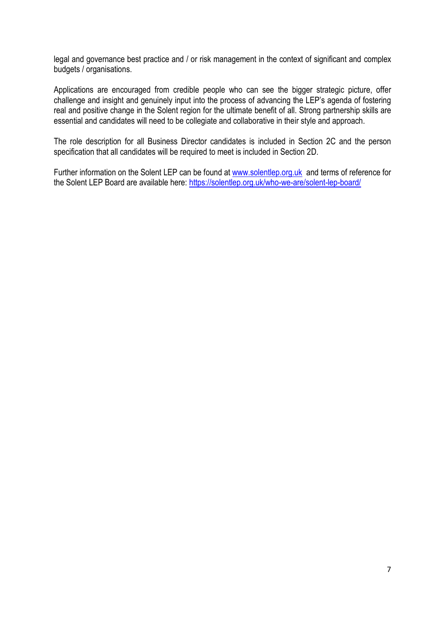legal and governance best practice and / or risk management in the context of significant and complex budgets / organisations.

Applications are encouraged from credible people who can see the bigger strategic picture, offer challenge and insight and genuinely input into the process of advancing the LEP's agenda of fostering real and positive change in the Solent region for the ultimate benefit of all. Strong partnership skills are essential and candidates will need to be collegiate and collaborative in their style and approach.

The role description for all Business Director candidates is included in Section 2C and the person specification that all candidates will be required to meet is included in Section 2D.

Further information on the Solent LEP can be found at [www.solentlep.org.uk](http://www.solentlep.org.uk/) and terms of reference for the Solent LEP Board are available here: <https://solentlep.org.uk/who-we-are/solent-lep-board/>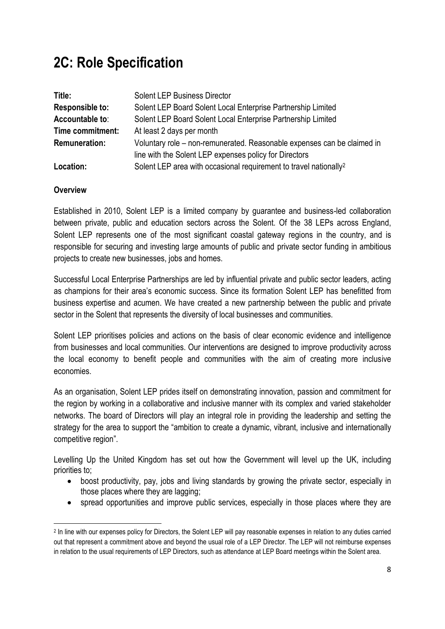### **2C: Role Specification**

| Title:                                                                          | <b>Solent LEP Business Director</b>                                           |  |
|---------------------------------------------------------------------------------|-------------------------------------------------------------------------------|--|
| <b>Responsible to:</b>                                                          | Solent LEP Board Solent Local Enterprise Partnership Limited                  |  |
| Solent LEP Board Solent Local Enterprise Partnership Limited<br>Accountable to: |                                                                               |  |
| Time commitment:                                                                | At least 2 days per month                                                     |  |
| <b>Remuneration:</b>                                                            | Voluntary role – non-remunerated. Reasonable expenses can be claimed in       |  |
|                                                                                 | line with the Solent LEP expenses policy for Directors                        |  |
| Location:                                                                       | Solent LEP area with occasional requirement to travel nationally <sup>2</sup> |  |

#### **Overview**

Established in 2010, Solent LEP is a limited company by guarantee and business-led collaboration between private, public and education sectors across the Solent. Of the 38 LEPs across England, Solent LEP represents one of the most significant coastal gateway regions in the country, and is responsible for securing and investing large amounts of public and private sector funding in ambitious projects to create new businesses, jobs and homes.

Successful Local Enterprise Partnerships are led by influential private and public sector leaders, acting as champions for their area's economic success. Since its formation Solent LEP has benefitted from business expertise and acumen. We have created a new partnership between the public and private sector in the Solent that represents the diversity of local businesses and communities.

Solent LEP prioritises policies and actions on the basis of clear economic evidence and intelligence from businesses and local communities. Our interventions are designed to improve productivity across the local economy to benefit people and communities with the aim of creating more inclusive economies.

As an organisation, Solent LEP prides itself on demonstrating innovation, passion and commitment for the region by working in a collaborative and inclusive manner with its complex and varied stakeholder networks. The board of Directors will play an integral role in providing the leadership and setting the strategy for the area to support the "ambition to create a dynamic, vibrant, inclusive and internationally competitive region".

Levelling Up the United Kingdom has set out how the Government will level up the UK, including priorities to;

- boost productivity, pay, jobs and living standards by growing the private sector, especially in those places where they are lagging;
- spread opportunities and improve public services, especially in those places where they are

<sup>&</sup>lt;sup>2</sup> In line with our expenses policy for Directors, the Solent LEP will pay reasonable expenses in relation to any duties carried out that represent a commitment above and beyond the usual role of a LEP Director. The LEP will not reimburse expenses in relation to the usual requirements of LEP Directors, such as attendance at LEP Board meetings within the Solent area.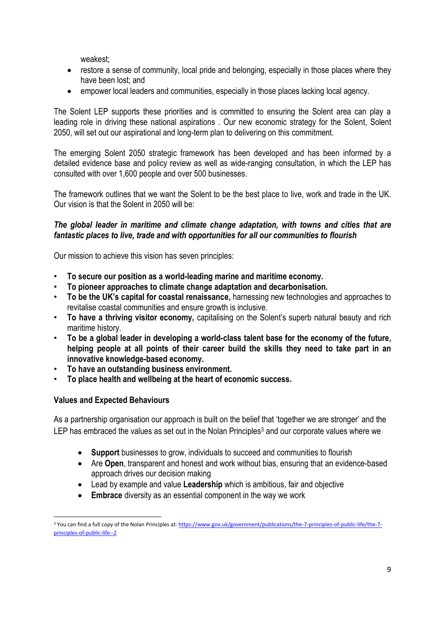weakest;

- restore a sense of community, local pride and belonging, especially in those places where they have been lost; and
- empower local leaders and communities, especially in those places lacking local agency.

The Solent LEP supports these priorities and is committed to ensuring the Solent area can play a leading role in driving these national aspirations . Our new economic strategy for the Solent, Solent 2050, will set out our aspirational and long-term plan to delivering on this commitment.

The emerging Solent 2050 strategic framework has been developed and has been informed by a detailed evidence base and policy review as well as wide-ranging consultation, in which the LEP has consulted with over 1,600 people and over 500 businesses.

The framework outlines that we want the Solent to be the best place to live, work and trade in the UK. Our vision is that the Solent in 2050 will be:

#### *The global leader in maritime and climate change adaptation, with towns and cities that are fantastic places to live, trade and with opportunities for all our communities to flourish*

Our mission to achieve this vision has seven principles:

- **To secure our position as a world-leading marine and maritime economy.**
- **To pioneer approaches to climate change adaptation and decarbonisation.**
- **To be the UK's capital for coastal renaissance,** harnessing new technologies and approaches to revitalise coastal communities and ensure growth is inclusive.
- **To have a thriving visitor economy,** capitalising on the Solent's superb natural beauty and rich maritime history.
- **To be a global leader in developing a world-class talent base for the economy of the future, helping people at all points of their career build the skills they need to take part in an innovative knowledge-based economy.**
- **To have an outstanding business environment.**
- **To place health and wellbeing at the heart of economic success.**

#### **Values and Expected Behaviours**

As a partnership organisation our approach is built on the belief that 'together we are stronger' and the LEP has embraced the values as set out in the Nolan Principles<sup>3</sup> and our corporate values where we

- **Support** businesses to grow, individuals to succeed and communities to flourish
- Are **Open**, transparent and honest and work without bias, ensuring that an evidence-based approach drives our decision making
- Lead by example and value **Leadership** which is ambitious, fair and objective
- **Embrace** diversity as an essential component in the way we work

<sup>3</sup> You can find a full copy of the Nolan Principles at: [https://www.gov.uk/government/publications/the-7-principles-of-public-life/the-7](https://www.gov.uk/government/publications/the-7-principles-of-public-life/the-7-principles-of-public-life--2) [principles-of-public-life--2](https://www.gov.uk/government/publications/the-7-principles-of-public-life/the-7-principles-of-public-life--2)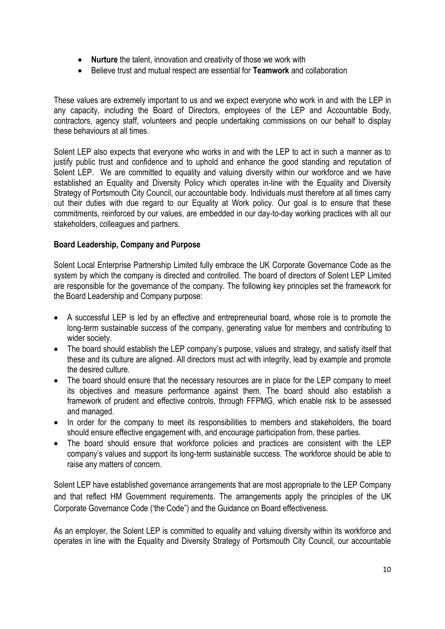- **Nurture** the talent, innovation and creativity of those we work with
- Believe trust and mutual respect are essential for **Teamwork** and collaboration

These values are extremely important to us and we expect everyone who work in and with the LEP in any capacity, including the Board of Directors, employees of the LEP and Accountable Body, contractors, agency staff, volunteers and people undertaking commissions on our behalf to display these behaviours at all times.

Solent LEP also expects that everyone who works in and with the LEP to act in such a manner as to justify public trust and confidence and to uphold and enhance the good standing and reputation of Solent LEP. We are committed to equality and valuing diversity within our workforce and we have established an Equality and Diversity Policy which operates in-line with the Equality and Diversity Strategy of Portsmouth City Council, our accountable body. Individuals must therefore at all times carry out their duties with due regard to our Equality at Work policy. Our goal is to ensure that these commitments, reinforced by our values, are embedded in our day-to-day working practices with all our stakeholders, colleagues and partners.

### **Board Leadership, Company and Purpose**

Solent Local Enterprise Partnership Limited fully embrace the UK Corporate Governance Code as the system by which the company is directed and controlled. The board of directors of Solent LEP Limited are responsible for the governance of the company. The following key principles set the framework for the Board Leadership and Company purpose:

- A successful LEP is led by an effective and entrepreneurial board, whose role is to promote the long-term sustainable success of the company, generating value for members and contributing to wider society.
- The board should establish the LEP company's purpose, values and strategy, and satisfy itself that these and its culture are aligned. All directors must act with integrity, lead by example and promote the desired culture.
- The board should ensure that the necessary resources are in place for the LEP company to meet its objectives and measure performance against them. The board should also establish a framework of prudent and effective controls, through FFPMG, which enable risk to be assessed and managed.
- In order for the company to meet its responsibilities to members and stakeholders, the board should ensure effective engagement with, and encourage participation from, these parties.
- The board should ensure that workforce policies and practices are consistent with the LEP company's values and support its long-term sustainable success. The workforce should be able to raise any matters of concern.

Solent LEP have established governance arrangements that are most appropriate to the LEP Company and that reflect HM Government requirements. The arrangements apply the principles of the UK Corporate Governance Code ('the Code") and the Guidance on Board effectiveness.

As an employer, the Solent LEP is committed to equality and valuing diversity within its workforce and operates in line with the Equality and Diversity Strategy of Portsmouth City Council, our accountable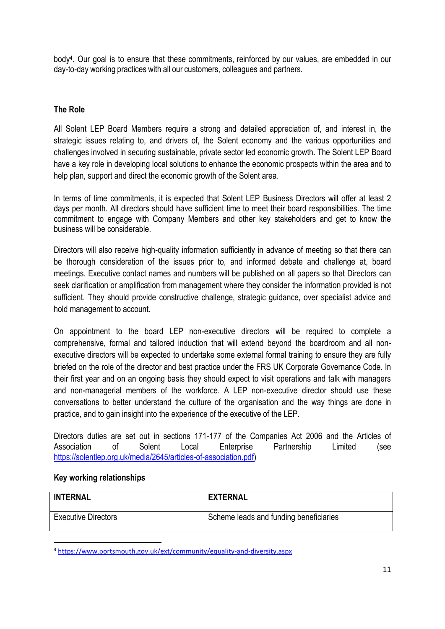body<sup>4</sup> . Our goal is to ensure that these commitments, reinforced by our values, are embedded in our day-to-day working practices with all our customers, colleagues and partners.

#### **The Role**

All Solent LEP Board Members require a strong and detailed appreciation of, and interest in, the strategic issues relating to, and drivers of, the Solent economy and the various opportunities and challenges involved in securing sustainable, private sector led economic growth. The Solent LEP Board have a key role in developing local solutions to enhance the economic prospects within the area and to help plan, support and direct the economic growth of the Solent area.

In terms of time commitments, it is expected that Solent LEP Business Directors will offer at least 2 days per month. All directors should have sufficient time to meet their board responsibilities. The time commitment to engage with Company Members and other key stakeholders and get to know the business will be considerable.

Directors will also receive high-quality information sufficiently in advance of meeting so that there can be thorough consideration of the issues prior to, and informed debate and challenge at, board meetings. Executive contact names and numbers will be published on all papers so that Directors can seek clarification or amplification from management where they consider the information provided is not sufficient. They should provide constructive challenge, strategic guidance, over specialist advice and hold management to account.

On appointment to the board LEP non-executive directors will be required to complete a comprehensive, formal and tailored induction that will extend beyond the boardroom and all nonexecutive directors will be expected to undertake some external formal training to ensure they are fully briefed on the role of the director and best practice under the FRS UK Corporate Governance Code. In their first year and on an ongoing basis they should expect to visit operations and talk with managers and non-managerial members of the workforce. A LEP non-executive director should use these conversations to better understand the culture of the organisation and the way things are done in practice, and to gain insight into the experience of the executive of the LEP.

Directors duties are set out in sections 171-177 of the Companies Act 2006 and the Articles of Association of Solent Local Enterprise Partnership Limited (see https://solentlep.org.uk/media/2645/articles-of-association.pdf)

#### **Key working relationships**

| <b>INTERNAL</b>            | <b>EXTERNAL</b>                        |
|----------------------------|----------------------------------------|
| <b>Executive Directors</b> | Scheme leads and funding beneficiaries |

<sup>4</sup> <https://www.portsmouth.gov.uk/ext/community/equality-and-diversity.aspx>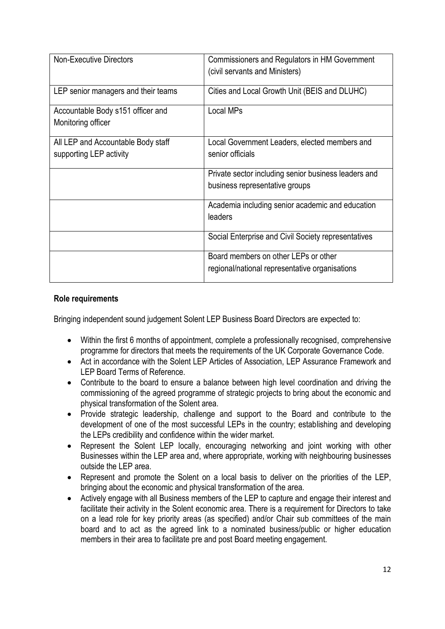| Non-Executive Directors                                       | Commissioners and Regulators in HM Government<br>(civil servants and Ministers)        |
|---------------------------------------------------------------|----------------------------------------------------------------------------------------|
| LEP senior managers and their teams                           | Cities and Local Growth Unit (BEIS and DLUHC)                                          |
| Accountable Body s151 officer and<br>Monitoring officer       | <b>Local MPs</b>                                                                       |
| All LEP and Accountable Body staff<br>supporting LEP activity | Local Government Leaders, elected members and<br>senior officials                      |
|                                                               | Private sector including senior business leaders and<br>business representative groups |
|                                                               | Academia including senior academic and education<br>leaders                            |
|                                                               | Social Enterprise and Civil Society representatives                                    |
|                                                               | Board members on other LEPs or other<br>regional/national representative organisations |

#### **Role requirements**

Bringing independent sound judgement Solent LEP Business Board Directors are expected to:

- Within the first 6 months of appointment, complete a professionally recognised, comprehensive programme for directors that meets the requirements of the UK Corporate Governance Code.
- Act in accordance with the Solent LEP Articles of Association, LEP Assurance Framework and LEP Board Terms of Reference.
- Contribute to the board to ensure a balance between high level coordination and driving the commissioning of the agreed programme of strategic projects to bring about the economic and physical transformation of the Solent area.
- Provide strategic leadership, challenge and support to the Board and contribute to the development of one of the most successful LEPs in the country; establishing and developing the LEPs credibility and confidence within the wider market.
- Represent the Solent LEP locally, encouraging networking and joint working with other Businesses within the LEP area and, where appropriate, working with neighbouring businesses outside the LEP area.
- Represent and promote the Solent on a local basis to deliver on the priorities of the LEP, bringing about the economic and physical transformation of the area.
- Actively engage with all Business members of the LEP to capture and engage their interest and facilitate their activity in the Solent economic area. There is a requirement for Directors to take on a lead role for key priority areas (as specified) and/or Chair sub committees of the main board and to act as the agreed link to a nominated business/public or higher education members in their area to facilitate pre and post Board meeting engagement.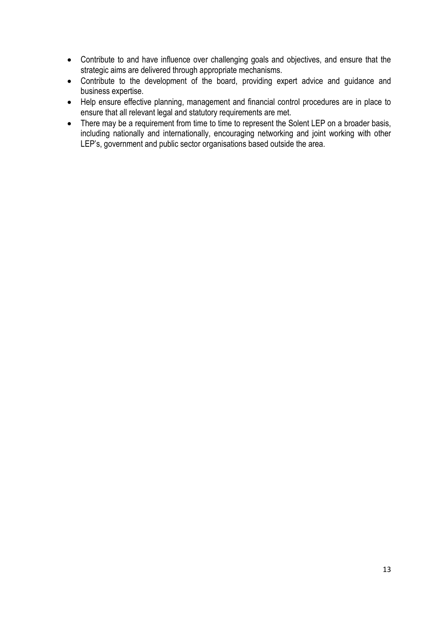- Contribute to and have influence over challenging goals and objectives, and ensure that the strategic aims are delivered through appropriate mechanisms.
- Contribute to the development of the board, providing expert advice and guidance and business expertise.
- Help ensure effective planning, management and financial control procedures are in place to ensure that all relevant legal and statutory requirements are met.
- There may be a requirement from time to time to represent the Solent LEP on a broader basis, including nationally and internationally, encouraging networking and joint working with other LEP's, government and public sector organisations based outside the area.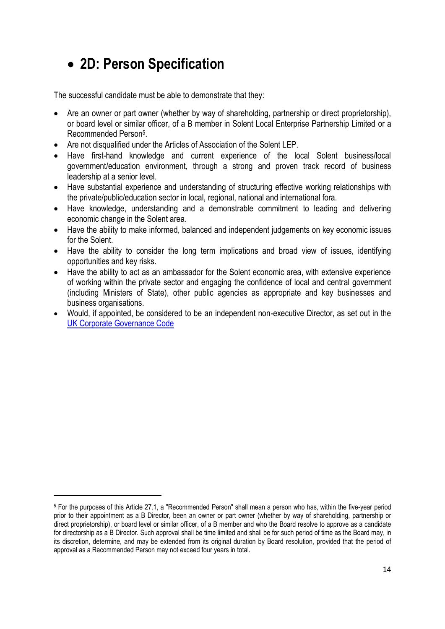### • **2D: Person Specification**

The successful candidate must be able to demonstrate that they:

- Are an owner or part owner (whether by way of shareholding, partnership or direct proprietorship), or board level or similar officer, of a B member in Solent Local Enterprise Partnership Limited or a Recommended Person<sup>5</sup> .
- Are not disqualified under the Articles of Association of the Solent LEP.
- Have first-hand knowledge and current experience of the local Solent business/local government/education environment, through a strong and proven track record of business leadership at a senior level.
- Have substantial experience and understanding of structuring effective working relationships with the private/public/education sector in local, regional, national and international fora.
- Have knowledge, understanding and a demonstrable commitment to leading and delivering economic change in the Solent area.
- Have the ability to make informed, balanced and independent judgements on key economic issues for the Solent.
- Have the ability to consider the long term implications and broad view of issues, identifying opportunities and key risks.
- Have the ability to act as an ambassador for the Solent economic area, with extensive experience of working within the private sector and engaging the confidence of local and central government (including Ministers of State), other public agencies as appropriate and key businesses and business organisations.
- Would, if appointed, be considered to be an independent non-executive Director, as set out in the [UK Corporate Governance Code](https://www.frc.org.uk/getattachment/88bd8c45-50ea-4841-95b0-d2f4f48069a2/2018-UK-Corporate-Governance-Code-FINAL.pdf)

<sup>5</sup> For the purposes of this Article 27.1, a "Recommended Person" shall mean a person who has, within the five-year period prior to their appointment as a B Director, been an owner or part owner (whether by way of shareholding, partnership or direct proprietorship), or board level or similar officer, of a B member and who the Board resolve to approve as a candidate for directorship as a B Director. Such approval shall be time limited and shall be for such period of time as the Board may, in its discretion, determine, and may be extended from its original duration by Board resolution, provided that the period of approval as a Recommended Person may not exceed four years in total.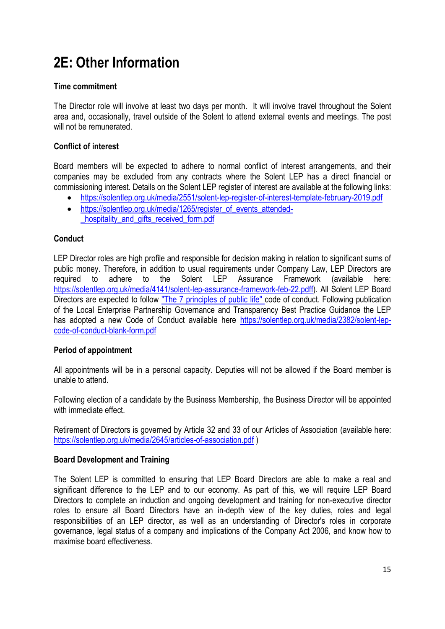### **2E: Other Information**

#### **Time commitment**

The Director role will involve at least two days per month. It will involve travel throughout the Solent area and, occasionally, travel outside of the Solent to attend external events and meetings. The post will not be remunerated.

#### **Conflict of interest**

Board members will be expected to adhere to normal conflict of interest arrangements, and their companies may be excluded from any contracts where the Solent LEP has a direct financial or commissioning interest. Details on the Solent LEP register of interest are available at the following links:

- <https://solentlep.org.uk/media/2551/solent-lep-register-of-interest-template-february-2019.pdf>
- [https://solentlep.org.uk/media/1265/register\\_of\\_events\\_attended](https://solentlep.org.uk/media/1265/register_of_events_attended-_hospitality_and_gifts_received_form.pdf) hospitality\_and\_gifts\_received\_form.pdf

#### **Conduct**

LEP Director roles are high profile and responsible for decision making in relation to significant sums of public money. Therefore, in addition to usual requirements under Company Law, LEP Directors are required to adhere to the Solent LEP Assurance Framework (available here: [https://solentlep.org.uk/media/4141/solent-lep-assurance-framework-feb-22.pdff\)](https://solentlep.org.uk/media/3162/solent-lep-assurance-framework-july-2020.pdf). All Solent LEP Board Directors are expected to follow ["The 7](https://www.gov.uk/government/publications/the-7-principles-of-public-life) [principles of public life" c](https://www.gov.uk/government/publications/the-7-principles-of-public-life)ode of conduct. Following publication of the Local Enterprise Partnership Governance and Transparency Best Practice Guidance the LEP has adopted a new Code of Conduct available here [https://solentlep.org.uk/media/2382/solent-lep](https://solentlep.org.uk/media/2382/solent-lep-code-of-conduct-blank-form.pdf)[code-of-conduct-blank-form.pdf](https://solentlep.org.uk/media/2382/solent-lep-code-of-conduct-blank-form.pdf)

#### **Period of appointment**

All appointments will be in a personal capacity. Deputies will not be allowed if the Board member is unable to attend.

Following election of a candidate by the Business Membership, the Business Director will be appointed with immediate effect.

Retirement of Directors is governed by Article 32 and 33 of our Articles of Association (available here: <https://solentlep.org.uk/media/2645/articles-of-association.pdf>)

#### **Board Development and Training**

The Solent LEP is committed to ensuring that LEP Board Directors are able to make a real and significant difference to the LEP and to our economy. As part of this, we will require LEP Board Directors to complete an induction and ongoing development and training for non-executive director roles to ensure all Board Directors have an in-depth view of the key duties, roles and legal responsibilities of an LEP director, as well as an understanding of Director's roles in corporate governance, legal status of a company and implications of the Company Act 2006, and know how to maximise board effectiveness.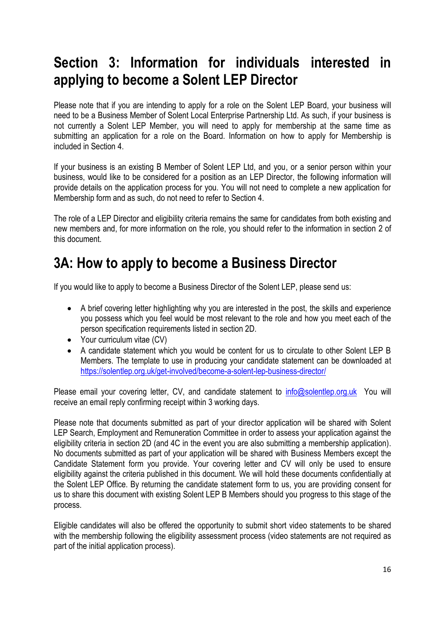### **Section 3: Information for individuals interested in applying to become a Solent LEP Director**

Please note that if you are intending to apply for a role on the Solent LEP Board, your business will need to be a Business Member of Solent Local Enterprise Partnership Ltd. As such, if your business is not currently a Solent LEP Member, you will need to apply for membership at the same time as submitting an application for a role on the Board. Information on how to apply for Membership is included in Section 4.

If your business is an existing B Member of Solent LEP Ltd, and you, or a senior person within your business, would like to be considered for a position as an LEP Director, the following information will provide details on the application process for you. You will not need to complete a new application for Membership form and as such, do not need to refer to Section 4.

The role of a LEP Director and eligibility criteria remains the same for candidates from both existing and new members and, for more information on the role, you should refer to the information in section 2 of this document.

### **3A: How to apply to become a Business Director**

If you would like to apply to become a Business Director of the Solent LEP, please send us:

- A brief covering letter highlighting why you are interested in the post, the skills and experience you possess which you feel would be most relevant to the role and how you meet each of the person specification requirements listed in section 2D.
- Your curriculum vitae (CV)
- A candidate statement which you would be content for us to circulate to other Solent LEP B Members. The template to use in producing your candidate statement can be downloaded at <https://solentlep.org.uk/get-involved/become-a-solent-lep-business-director/>

Please email your covering letter, CV, and candidate statement to [info@solentlep.org.uk](mailto:info@solentlep.org.uk) You will receive an email reply confirming receipt within 3 working days.

Please note that documents submitted as part of your director application will be shared with Solent LEP Search, Employment and Remuneration Committee in order to assess your application against the eligibility criteria in section 2D (and 4C in the event you are also submitting a membership application). No documents submitted as part of your application will be shared with Business Members except the Candidate Statement form you provide. Your covering letter and CV will only be used to ensure eligibility against the criteria published in this document. We will hold these documents confidentially at the Solent LEP Office. By returning the candidate statement form to us, you are providing consent for us to share this document with existing Solent LEP B Members should you progress to this stage of the process.

Eligible candidates will also be offered the opportunity to submit short video statements to be shared with the membership following the eligibility assessment process (video statements are not required as part of the initial application process).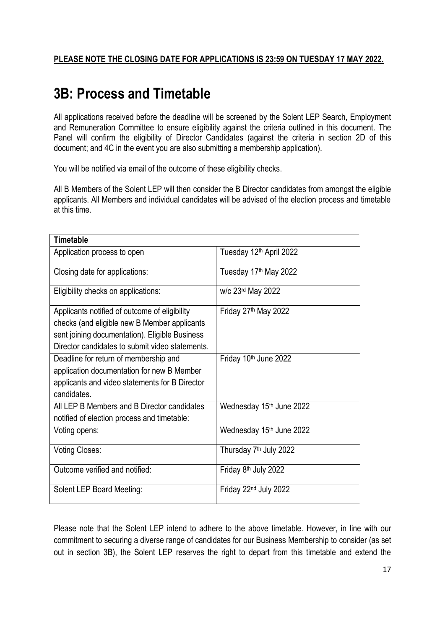### **3B: Process and Timetable**

All applications received before the deadline will be screened by the Solent LEP Search, Employment and Remuneration Committee to ensure eligibility against the criteria outlined in this document. The Panel will confirm the eligibility of Director Candidates (against the criteria in section 2D of this document; and 4C in the event you are also submitting a membership application).

You will be notified via email of the outcome of these eligibility checks.

All B Members of the Solent LEP will then consider the B Director candidates from amongst the eligible applicants. All Members and individual candidates will be advised of the election process and timetable at this time.

| <b>Timetable</b>                                                                                                                                                                                   |                                      |  |  |  |
|----------------------------------------------------------------------------------------------------------------------------------------------------------------------------------------------------|--------------------------------------|--|--|--|
| Application process to open                                                                                                                                                                        | Tuesday 12 <sup>th</sup> April 2022  |  |  |  |
| Closing date for applications:                                                                                                                                                                     | Tuesday 17th May 2022                |  |  |  |
| Eligibility checks on applications:                                                                                                                                                                | w/c 23rd May 2022                    |  |  |  |
| Applicants notified of outcome of eligibility<br>checks (and eligible new B Member applicants<br>sent joining documentation). Eligible Business<br>Director candidates to submit video statements. | Friday 27 <sup>th</sup> May 2022     |  |  |  |
| Deadline for return of membership and<br>application documentation for new B Member<br>applicants and video statements for B Director<br>candidates.                                               | Friday 10 <sup>th</sup> June 2022    |  |  |  |
| All LEP B Members and B Director candidates<br>notified of election process and timetable:                                                                                                         | Wednesday 15th June 2022             |  |  |  |
| Voting opens:                                                                                                                                                                                      | Wednesday 15 <sup>th</sup> June 2022 |  |  |  |
| <b>Voting Closes:</b>                                                                                                                                                                              | Thursday 7 <sup>th</sup> July 2022   |  |  |  |
| Outcome verified and notified:                                                                                                                                                                     | Friday 8 <sup>th</sup> July 2022     |  |  |  |
| Solent LEP Board Meeting:                                                                                                                                                                          | Friday 22 <sup>nd</sup> July 2022    |  |  |  |

Please note that the Solent LEP intend to adhere to the above timetable. However, in line with our commitment to securing a diverse range of candidates for our Business Membership to consider (as set out in section 3B), the Solent LEP reserves the right to depart from this timetable and extend the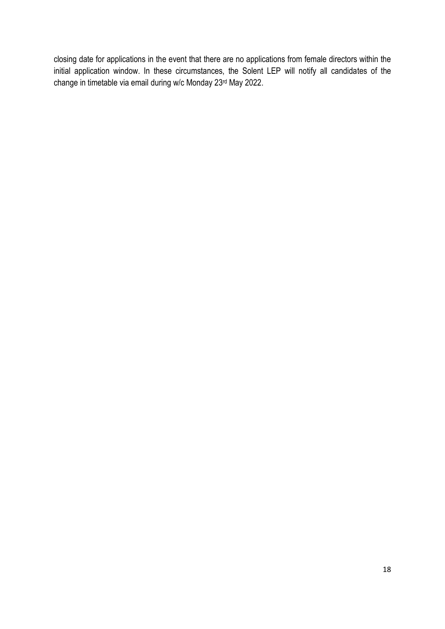closing date for applications in the event that there are no applications from female directors within the initial application window. In these circumstances, the Solent LEP will notify all candidates of the change in timetable via email during w/c Monday 23rd May 2022.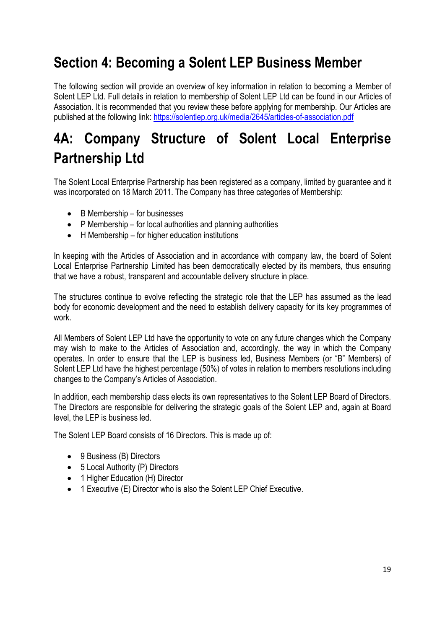### **Section 4: Becoming a Solent LEP Business Member**

The following section will provide an overview of key information in relation to becoming a Member of Solent LEP Ltd. Full details in relation to membership of Solent LEP Ltd can be found in our Articles of Association. It is recommended that you review these before applying for membership. Our Articles are published at the following link:<https://solentlep.org.uk/media/2645/articles-of-association.pdf>

## **4A: Company Structure of Solent Local Enterprise Partnership Ltd**

The Solent Local Enterprise Partnership has been registered as a company, limited by guarantee and it was incorporated on 18 March 2011. The Company has three categories of Membership:

- B Membership for businesses
- P Membership for local authorities and planning authorities
- H Membership for higher education institutions

In keeping with the Articles of Association and in accordance with company law, the board of Solent Local Enterprise Partnership Limited has been democratically elected by its members, thus ensuring that we have a robust, transparent and accountable delivery structure in place.

The structures continue to evolve reflecting the strategic role that the LEP has assumed as the lead body for economic development and the need to establish delivery capacity for its key programmes of work.

All Members of Solent LEP Ltd have the opportunity to vote on any future changes which the Company may wish to make to the Articles of Association and, accordingly, the way in which the Company operates. In order to ensure that the LEP is business led, Business Members (or "B" Members) of Solent LEP Ltd have the highest percentage (50%) of votes in relation to members resolutions including changes to the Company's Articles of Association.

In addition, each membership class elects its own representatives to the Solent LEP Board of Directors. The Directors are responsible for delivering the strategic goals of the Solent LEP and, again at Board level, the LEP is business led.

The Solent LEP Board consists of 16 Directors. This is made up of:

- 9 Business (B) Directors
- 5 Local Authority (P) Directors
- 1 Higher Education (H) Director
- 1 Executive (E) Director who is also the Solent LEP Chief Executive.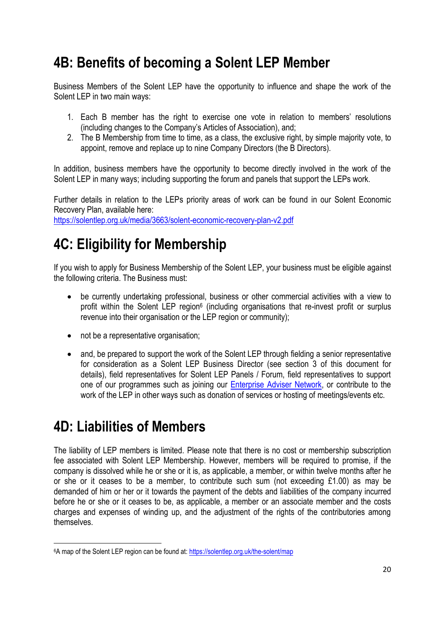### **4B: Benefits of becoming a Solent LEP Member**

Business Members of the Solent LEP have the opportunity to influence and shape the work of the Solent LEP in two main ways:

- 1. Each B member has the right to exercise one vote in relation to members' resolutions (including changes to the Company's Articles of Association), and;
- 2. The B Membership from time to time, as a class, the exclusive right, by simple majority vote, to appoint, remove and replace up to nine Company Directors (the B Directors).

In addition, business members have the opportunity to become directly involved in the work of the Solent LEP in many ways; including supporting the forum and panels that support the LEPs work.

Further details in relation to the LEPs priority areas of work can be found in our Solent Economic Recovery Plan, available here: <https://solentlep.org.uk/media/3663/solent-economic-recovery-plan-v2.pdf>

### **4C: Eligibility for Membership**

If you wish to apply for Business Membership of the Solent LEP, your business must be eligible against the following criteria. The Business must:

- be currently undertaking professional, business or other commercial activities with a view to profit within the Solent LEP region<sup>6</sup> (including organisations that re-invest profit or surplus revenue into their organisation or the LEP region or community);
- not be a representative organisation;
- and, be prepared to support the work of the Solent LEP through fielding a senior representative for consideration as a Solent LEP Business Director (see section 3 of this document for details), field representatives for Solent LEP Panels / Forum, field representatives to support one of our programmes such as joining our [Enterprise Adviser Network,](https://www.solentgrowthhub.co.uk/home/talent-and-training-2/enterprise-adviser-network/) or contribute to the work of the LEP in other ways such as donation of services or hosting of meetings/events etc.

### **4D: Liabilities of Members**

The liability of LEP members is limited. Please note that there is no cost or membership subscription fee associated with Solent LEP Membership. However, members will be required to promise, if the company is dissolved while he or she or it is, as applicable, a member, or within twelve months after he or she or it ceases to be a member, to contribute such sum (not exceeding £1.00) as may be demanded of him or her or it towards the payment of the debts and liabilities of the company incurred before he or she or it ceases to be, as applicable, a member or an associate member and the costs charges and expenses of winding up, and the adjustment of the rights of the contributories among themselves.

<sup>6</sup>A map of the Solent LEP region can be found at:<https://solentlep.org.uk/the-solent/map>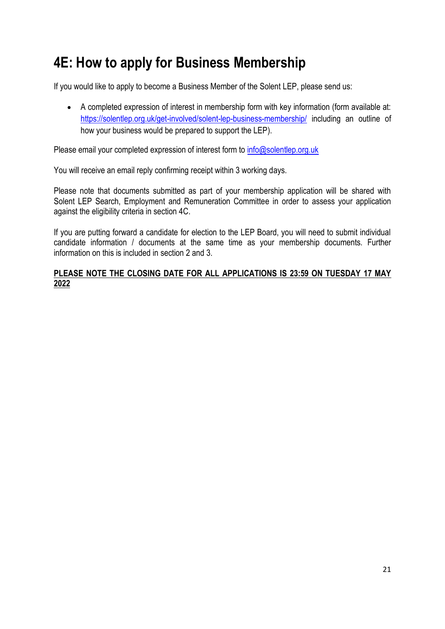### **4E: How to apply for Business Membership**

If you would like to apply to become a Business Member of the Solent LEP, please send us:

• A completed expression of interest in membership form with key information (form available at: <https://solentlep.org.uk/get-involved/solent-lep-business-membership/> including an outline of how your business would be prepared to support the LEP).

Please email your completed expression of interest form t[o info@solentlep.org.uk](mailto:info@solentlep.org.uk)

You will receive an email reply confirming receipt within 3 working days.

Please note that documents submitted as part of your membership application will be shared with Solent LEP Search, Employment and Remuneration Committee in order to assess your application against the eligibility criteria in section 4C.

If you are putting forward a candidate for election to the LEP Board, you will need to submit individual candidate information / documents at the same time as your membership documents. Further information on this is included in section 2 and 3.

#### **PLEASE NOTE THE CLOSING DATE FOR ALL APPLICATIONS IS 23:59 ON TUESDAY 17 MAY 2022**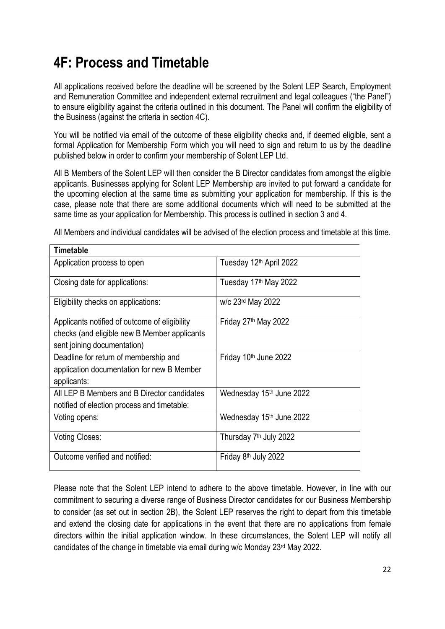### **4F: Process and Timetable**

All applications received before the deadline will be screened by the Solent LEP Search, Employment and Remuneration Committee and independent external recruitment and legal colleagues ("the Panel") to ensure eligibility against the criteria outlined in this document. The Panel will confirm the eligibility of the Business (against the criteria in section 4C).

You will be notified via email of the outcome of these eligibility checks and, if deemed eligible, sent a formal Application for Membership Form which you will need to sign and return to us by the deadline published below in order to confirm your membership of Solent LEP Ltd.

All B Members of the Solent LEP will then consider the B Director candidates from amongst the eligible applicants. Businesses applying for Solent LEP Membership are invited to put forward a candidate for the upcoming election at the same time as submitting your application for membership. If this is the case, please note that there are some additional documents which will need to be submitted at the same time as your application for Membership. This process is outlined in section 3 and 4.

All Members and individual candidates will be advised of the election process and timetable at this time.

| Timetable                                     |                                      |  |  |  |
|-----------------------------------------------|--------------------------------------|--|--|--|
| Application process to open                   | Tuesday 12 <sup>th</sup> April 2022  |  |  |  |
| Closing date for applications:                | Tuesday 17 <sup>th</sup> May 2022    |  |  |  |
| Eligibility checks on applications:           | w/c 23rd May 2022                    |  |  |  |
| Applicants notified of outcome of eligibility | Friday $27th$ May 2022               |  |  |  |
| checks (and eligible new B Member applicants  |                                      |  |  |  |
| sent joining documentation)                   |                                      |  |  |  |
| Deadline for return of membership and         | Friday 10 <sup>th</sup> June 2022    |  |  |  |
| application documentation for new B Member    |                                      |  |  |  |
| applicants:                                   |                                      |  |  |  |
| All LEP B Members and B Director candidates   | Wednesday 15 <sup>th</sup> June 2022 |  |  |  |
| notified of election process and timetable:   |                                      |  |  |  |
| Voting opens:                                 | Wednesday 15 <sup>th</sup> June 2022 |  |  |  |
| <b>Voting Closes:</b>                         | Thursday 7th July 2022               |  |  |  |
| Outcome verified and notified:                | Friday 8 <sup>th</sup> July 2022     |  |  |  |

Please note that the Solent LEP intend to adhere to the above timetable. However, in line with our commitment to securing a diverse range of Business Director candidates for our Business Membership to consider (as set out in section 2B), the Solent LEP reserves the right to depart from this timetable and extend the closing date for applications in the event that there are no applications from female directors within the initial application window. In these circumstances, the Solent LEP will notify all candidates of the change in timetable via email during w/c Monday 23rd May 2022.